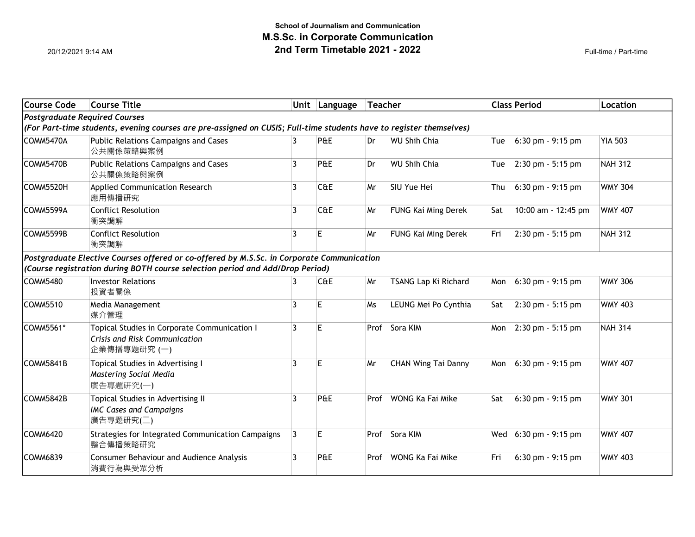| <b>Course Code</b>                                                                                                  | <b>Course Title</b>                                                                           |                | Unit Language | Teacher |                            |     | <b>Class Period</b>  | <b>Location</b> |
|---------------------------------------------------------------------------------------------------------------------|-----------------------------------------------------------------------------------------------|----------------|---------------|---------|----------------------------|-----|----------------------|-----------------|
|                                                                                                                     | Postgraduate Required Courses                                                                 |                |               |         |                            |     |                      |                 |
| (For Part-time students, evening courses are pre-assigned on CUSIS; Full-time students have to register themselves) |                                                                                               |                |               |         |                            |     |                      |                 |
| COMM5470A                                                                                                           | Public Relations Campaigns and Cases<br>公共關係策略與案例                                             | 3              | P&E           | Dr      | <b>WU Shih Chia</b>        | Tue | $6:30$ pm $-9:15$ pm | <b>YIA 503</b>  |
| COMM5470B                                                                                                           | Public Relations Campaigns and Cases<br>公共關係策略與案例                                             | 3              | P&E           | Dr      | <b>WU Shih Chia</b>        | Tue | 2:30 pm - 5:15 pm    | <b>NAH 312</b>  |
| COMM5520H                                                                                                           | Applied Communication Research<br>應用傳播研究                                                      | 3              | C&E           | Mr      | SIU Yue Hei                | Thu | 6:30 pm - 9:15 pm    | <b>WMY 304</b>  |
| COMM5599A                                                                                                           | <b>Conflict Resolution</b><br>衝突調解                                                            | 3              | C&E           | Mr      | FUNG Kai Ming Derek        | Sat | 10:00 am - 12:45 pm  | <b>WMY 407</b>  |
| COMM5599B                                                                                                           | <b>Conflict Resolution</b><br>衝突調解                                                            | 3              | E             | Mr      | FUNG Kai Ming Derek        | Fri | 2:30 pm - 5:15 pm    | <b>NAH 312</b>  |
|                                                                                                                     | Postgraduate Elective Courses offered or co-offered by M.S.Sc. in Corporate Communication     |                |               |         |                            |     |                      |                 |
|                                                                                                                     | (Course registration during BOTH course selection period and Add/Drop Period)                 |                |               |         |                            |     |                      |                 |
| COMM5480                                                                                                            | <b>Investor Relations</b><br>投資者關係                                                            | 3              | C@E           | Mr      | TSANG Lap Ki Richard       | Mon | 6:30 pm - 9:15 pm    | <b>WMY 306</b>  |
| COMM5510                                                                                                            | Media Management<br>媒介管理                                                                      | 3              | E.            | Ms      | LEUNG Mei Po Cynthia       | Sat | 2:30 pm - 5:15 pm    | <b>WMY 403</b>  |
| COMM5561*                                                                                                           | Topical Studies in Corporate Communication I<br>Crisis and Risk Communication<br>企業傳播專題研究 (一) | 3              | E             |         | Prof Sora KIM              | Mon | 2:30 pm - 5:15 pm    | <b>NAH 314</b>  |
| COMM5841B                                                                                                           | Topical Studies in Advertising I<br>Mastering Social Media<br>廣告專題研究(一)                       | 3              | E             | Mr      | <b>CHAN Wing Tai Danny</b> | Mon | 6:30 pm - 9:15 pm    | <b>WMY 407</b>  |
| COMM5842B                                                                                                           | Topical Studies in Advertising II<br><b>IMC Cases and Campaigns</b><br>廣告專題研究(二)              | 3              | P&E           | Prof    | WONG Ka Fai Mike           | Sat | 6:30 pm - 9:15 pm    | <b>WMY 301</b>  |
| COMM6420                                                                                                            | Strategies for Integrated Communication Campaigns<br>整合傳播策略研究                                 | $\overline{3}$ | E             |         | Prof Sora KIM              | Wed | $6:30$ pm $-9:15$ pm | <b>WMY 407</b>  |
| COMM6839                                                                                                            | <b>Consumer Behaviour and Audience Analysis</b><br>消費行為與受眾分析                                  | 3              | P&E           | Prof    | WONG Ka Fai Mike           | Fri | $6:30$ pm $-9:15$ pm | <b>WMY 403</b>  |